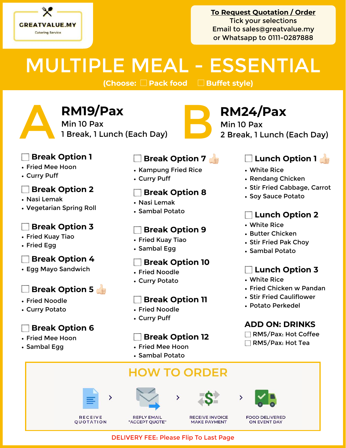

**To Request Quotation / Order** Tick your selections Email to [sales@greatvalue.my](mailto:sales@greatvalue.my) or Whatsapp to 0111-0287888

## MULTIPLE MEAL - ESSENTIAL

**(Choose:** 䡩 **Pack food** 䡩 **Buffet style)**

**1 Break, 1 Lunch (Each Day)** B **RM24/Pax**<br>
1 Break, 1 Lunch (Each Day) B a Break, 1 Lunch<br> **B a** Break, 1 Lunch (Each Day) Min 10 Pax

2 Break, 1 Lunch (Each Day)

#### **Break Option 1**

- Fried Mee Hoon
- Curry Puff

#### **Break Option 2**

- Nasi Lemak
- Vegetarian Spring Roll

#### **Break Option 3**

- Fried Kuay Tiao
- Fried Egg

#### **Break Option 4**

• Egg Mayo Sandwich

### **Break Option 5**

- Fried Noodle
- Curry Potato

#### **Break Option 6**

- Fried Mee Hoon
- Sambal Egg

#### **Break Option 7**

- Kampung Fried Rice
- Curry Puff

#### **Break Option 8**

- Nasi Lemak
- Sambal Potato

#### **Break Option 9**

- Fried Kuay Tiao • Sambal Egg
- 

- Fried Noodle
- Curry Potato

#### **Break Option 11**

- Fried Noodle
- Curry Puff

#### **Break Option 12**

- Fried Mee Hoon
- Sambal Potato

## **HOW TO ORDER**









**FOOD DELIVERED ON EVENT DAY** 

### **Lunch Option 1**

- White Rice
- Rendang Chicken
- Stir Fried Cabbage, Carrot
- Soy Sauce Potato

### **Lunch Option 2**

- White Rice
- Butter Chicken
- Stir Fried Pak Choy
- Sambal Potato

#### **Lunch Option 3**

- White Rice
- Fried Chicken w Pandan
- Stir Fried Cauliflower
- Potato Perkedel

#### **ADD ON: DRINKS**

- RM5/Pax: Hot Coffee
- RM5/Pax: Hot Tea









#### DELIVERY FEE: Please Flip To Last Page

# **Break Option 10**



**RM19/Pax**<br>Min 10 Pax<br>1 Break, 1 Lunch (Each Day)

Min 10 Pax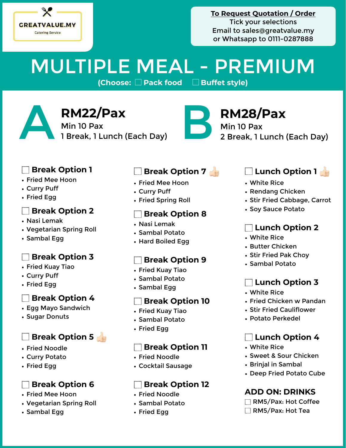

#### **To Request Quotation / Order** Tick your selections Email to [sales@greatvalue.my](mailto:sales@greatvalue.my) or Whatsapp to 0111-0287888

# MULTIPLE MEAL - PREMIUM

**(Choose:** 䡩 **Pack food** 䡩 **Buffet style)**

**RM22/Pax**<br>Min 10 Pax<br>1 Break, 1 Lunch (Each Day) Min 10 Pax RM22/Pax<br>
Min 10 Pax<br>
1 Break, 1 Lunch (Each Day)<br>
2 Break, 1 Lunch<br>
2 Break, 1 Lunch



Min 10 Pax 2 Break, 1 Lunch (Each Day)

#### **Break Option 1**

- Fried Mee Hoon
- Curry Puff
- Fried Egg

#### **Break Option 2**

- Nasi Lemak
- Vegetarian Spring Roll
- Sambal Egg

#### **Break Option 3**  $\vert$

- Fried Kuay Tiao
- Curry Puff
- Fried Egg

#### **Break Option 4**

- Egg Mayo Sandwich
- Sugar Donuts

### **Break Option 5**

- Fried Noodle
- Curry Potato
- Fried Egg

#### **Break Option 6**

- Fried Mee Hoon
- Vegetarian Spring Roll
- Sambal Egg

#### **Break Option 7**

- Fried Mee Hoon
- Curry Puff
- Fried Spring Roll

#### **Break Option 8**

- Nasi Lemak
- Sambal Potato
- Hard Boiled Egg

#### **Break Option 9**

- Fried Kuay Tiao
- Sambal Potato
- Sambal Egg

#### **Break Option 10**

- Fried Kuay Tiao
- Sambal Potato
- Fried Egg

#### **Break Option 11**

- Fried Noodle
- Cocktail Sausage

#### **Break Option 12**

- Fried Noodle
- Sambal Potato
- Fried Egg

### **Lunch Option 1**

- White Rice
- Rendang Chicken
- Stir Fried Cabbage, Carrot
- Soy Sauce Potato

#### **Lunch Option 2**

- White Rice
- Butter Chicken
- Stir Fried Pak Choy
- Sambal Potato

#### **Lunch Option 3**

- White Rice
- Fried Chicken w Pandan
- Stir Fried Cauliflower
- Potato Perkedel

#### **Lunch Option 4**

- White Rice
- Sweet & Sour Chicken
- Brinjal in Sambal
- Deep Fried Potato Cube

#### **ADD ON: DRINKS**

- RM5/Pax: Hot Coffee
- RM5/Pax: Hot Tea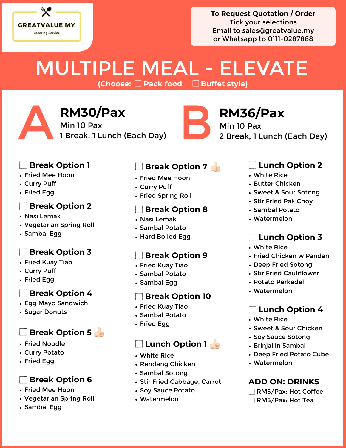

#### **To Request Quotation / Order** Tick your selections Email to [sales@greatvalue.my](mailto:sales@greatvalue.my) or Whatsapp to 0111-0287888

# MULTIPLE MEAL - ELEVATE

**(Choose:** 䡩 **Pack food** 䡩 **Buffet style)**

RM30/Pax<br>
Min 10 Pax<br>
1 Break, 1 Lunch (Each Day)<br>
2 Break, 1 Lunch<br>
2 Break, 1 Lunch Min 10 Pax 2 Break, 1 Lunch (Each Day)

#### **Break Option 1**

- Fried Mee Hoon
- Curry Puff
- Fried Egg

#### **Break Option 2**

- Nasi Lemak
- Vegetarian Spring Roll
- Sambal Egg

#### **Break Option 3**

- Fried Kuay Tiao
- Curry Puff
- Fried Egg

#### **Break Option 4**

- Egg Mayo Sandwich
- Sugar Donuts

#### **Break Option 5**

- Fried Noodle
- Curry Potato
- Fried Egg

#### **Break Option 6**

- Fried Mee Hoon
- Vegetarian Spring Roll
- Sambal Egg

#### **Break Option 7 <b>B**

- Fried Mee Hoon
- Curry Puff

**RM30/Pax**<br>Min 10 Pax<br>1 Break, 1 Lunch (Each Day)

Min 10 Pax

• Fried Spring Roll

#### **Break Option 8**

- Nasi Lemak
- Sambal Potato
- Hard Boiled Egg

#### **Break Option 9**

- Fried Kuay Tiao
- Sambal Potato
- Sambal Egg

#### **Break Option 10**

- Fried Kuay Tiao
- Sambal Potato
- Fried Egg

#### **Lunch Option 1**

- White Rice
- Rendang Chicken
- Sambal Sotong
- Stir Fried Cabbage, Carrot
- Soy Sauce Potato
- Watermelon

#### **Lunch Option 2**

- White Rice
- Butter Chicken
- Sweet & Sour Sotong
- Stir Fried Pak Choy
- Sambal Potato
- Watermelon

#### **Lunch Option 3**

- White Rice
- Fried Chicken w Pandan
- Deep Fried Sotong
- Stir Fried Cauliflower
- Potato Perkedel
- Watermelon

#### **Lunch Option 4**

- White Rice
- Sweet & Sour Chicken
- Soy Sauce Sotong
- Brinjal in Sambal
- Deep Fried Potato Cube
- Watermelon

#### **ADD ON: DRINKS**

- RM5/Pax: Hot Coffee
- RM5/Pax: Hot Tea